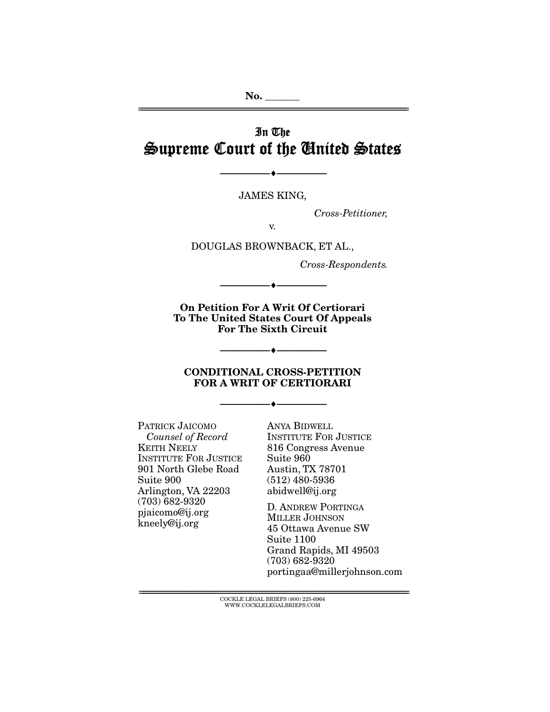# In The Supreme Court of the United States

JAMES KING,

--------------------------------- ---------------------------------

*Cross-Petitioner,* 

v.

DOUGLAS BROWNBACK, ET AL.,

*Cross-Respondents.* 

On Petition For A Writ Of Certiorari To The United States Court Of Appeals For The Sixth Circuit

--------------------------------- ---------------------------------

#### CONDITIONAL CROSS-PETITION FOR A WRIT OF CERTIORARI

--------------------------------- ---------------------------------

 $\bullet$   $-$ 

PATRICK JAICOMO *Counsel of Record* KEITH NEELY INSTITUTE FOR JUSTICE 901 North Glebe Road Suite 900 Arlington, VA 22203 (703) 682-9320 pjaicomo@ij.org kneely@ij.org

ANYA BIDWELL INSTITUTE FOR JUSTICE 816 Congress Avenue Suite 960 Austin, TX 78701 (512) 480-5936 abidwell@ij.org

D. ANDREW PORTINGA MILLER JOHNSON 45 Ottawa Avenue SW Suite 1100 Grand Rapids, MI 49503 (703) 682-9320 portingaa@millerjohnson.com

 ${ \rm COCKLE}$  LEGAL BRIEFS (800) 225-6964 WWW.COCKLELEGALBRIEFS.COM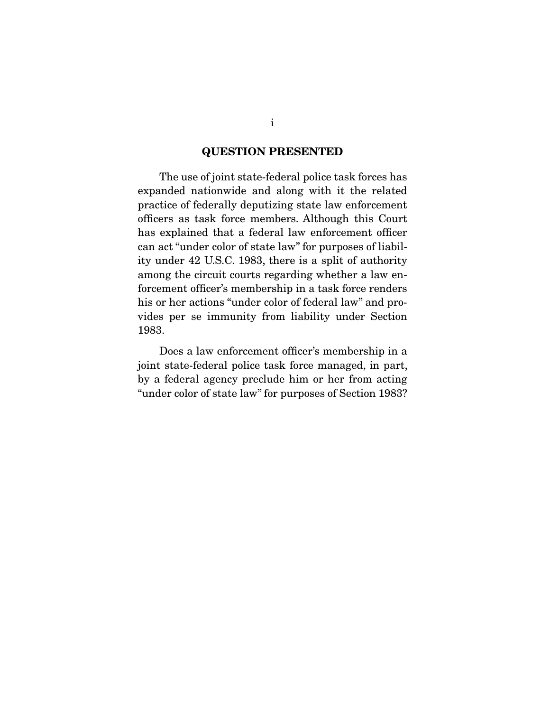### QUESTION PRESENTED

 The use of joint state-federal police task forces has expanded nationwide and along with it the related practice of federally deputizing state law enforcement officers as task force members. Although this Court has explained that a federal law enforcement officer can act "under color of state law" for purposes of liability under 42 U.S.C. 1983, there is a split of authority among the circuit courts regarding whether a law enforcement officer's membership in a task force renders his or her actions "under color of federal law" and provides per se immunity from liability under Section 1983.

 Does a law enforcement officer's membership in a joint state-federal police task force managed, in part, by a federal agency preclude him or her from acting "under color of state law" for purposes of Section 1983?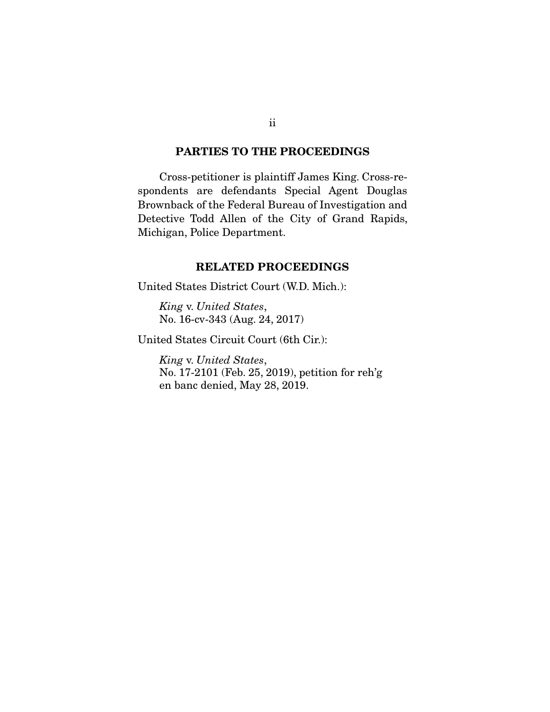### PARTIES TO THE PROCEEDINGS

 Cross-petitioner is plaintiff James King. Cross-respondents are defendants Special Agent Douglas Brownback of the Federal Bureau of Investigation and Detective Todd Allen of the City of Grand Rapids, Michigan, Police Department.

### RELATED PROCEEDINGS

United States District Court (W.D. Mich.):

*King* v. *United States*, No. 16-cv-343 (Aug. 24, 2017)

United States Circuit Court (6th Cir.):

*King* v. *United States*, No. 17-2101 (Feb. 25, 2019), petition for reh'g en banc denied, May 28, 2019.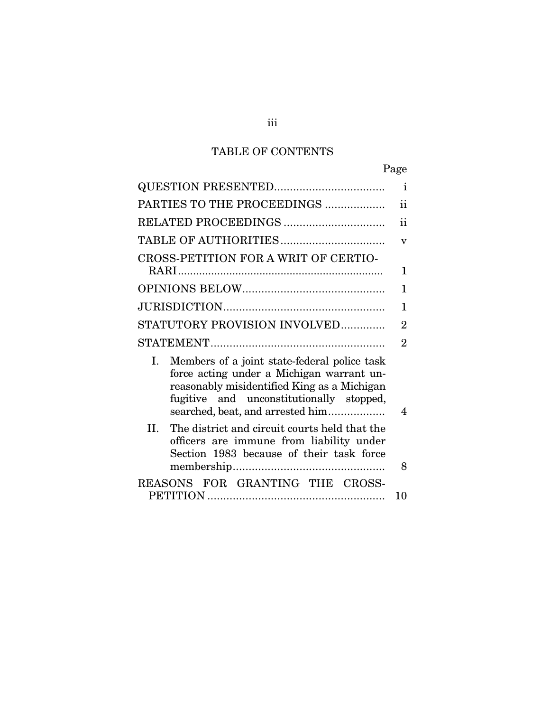# TABLE OF CONTENTS

|                                                                                                                                                                                                                                | Page                    |
|--------------------------------------------------------------------------------------------------------------------------------------------------------------------------------------------------------------------------------|-------------------------|
|                                                                                                                                                                                                                                | $\mathbf{i}$            |
| PARTIES TO THE PROCEEDINGS                                                                                                                                                                                                     | ii                      |
| RELATED PROCEEDINGS                                                                                                                                                                                                            | ii                      |
|                                                                                                                                                                                                                                | $\overline{\mathbf{V}}$ |
| CROSS-PETITION FOR A WRIT OF CERTIO-                                                                                                                                                                                           | 1                       |
|                                                                                                                                                                                                                                | 1                       |
|                                                                                                                                                                                                                                | 1                       |
| STATUTORY PROVISION INVOLVED                                                                                                                                                                                                   | $\overline{2}$          |
|                                                                                                                                                                                                                                | $\overline{2}$          |
| Members of a joint state-federal police task<br>I.<br>force acting under a Michigan warrant un-<br>reasonably misidentified King as a Michigan<br>fugitive and unconstitutionally stopped,<br>searched, beat, and arrested him | 4                       |
| II.<br>The district and circuit courts held that the<br>officers are immune from liability under<br>Section 1983 because of their task force                                                                                   | 8                       |
| REASONS FOR GRANTING THE CROSS-                                                                                                                                                                                                | 10                      |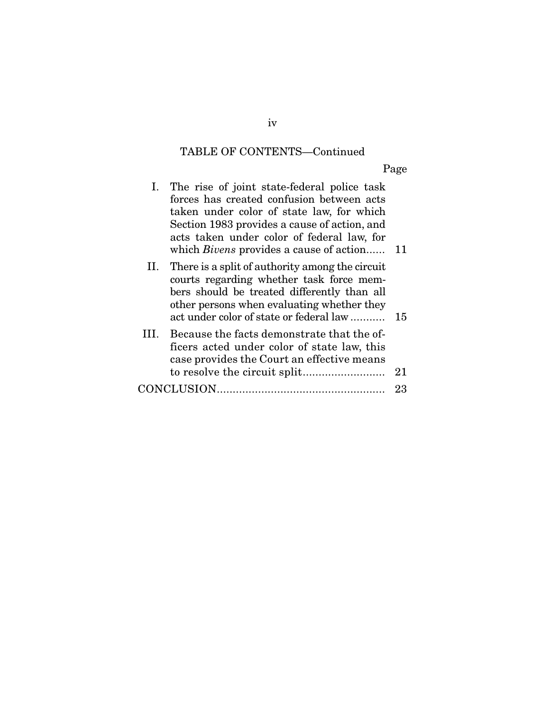# TABLE OF CONTENTS—Continued

Page

|     | I. The rise of joint state-federal police task<br>forces has created confusion between acts<br>taken under color of state law, for which<br>Section 1983 provides a cause of action, and<br>acts taken under color of federal law, for<br>which <i>Bivens</i> provides a cause of action 11 |    |
|-----|---------------------------------------------------------------------------------------------------------------------------------------------------------------------------------------------------------------------------------------------------------------------------------------------|----|
| 11. | There is a split of authority among the circuit<br>courts regarding whether task force mem-<br>bers should be treated differently than all<br>other persons when evaluating whether they<br>act under color of state or federal law                                                         | 15 |
| Ш   | Because the facts demonstrate that the of-<br>ficers acted under color of state law, this<br>case provides the Court an effective means                                                                                                                                                     | 21 |
|     |                                                                                                                                                                                                                                                                                             | 23 |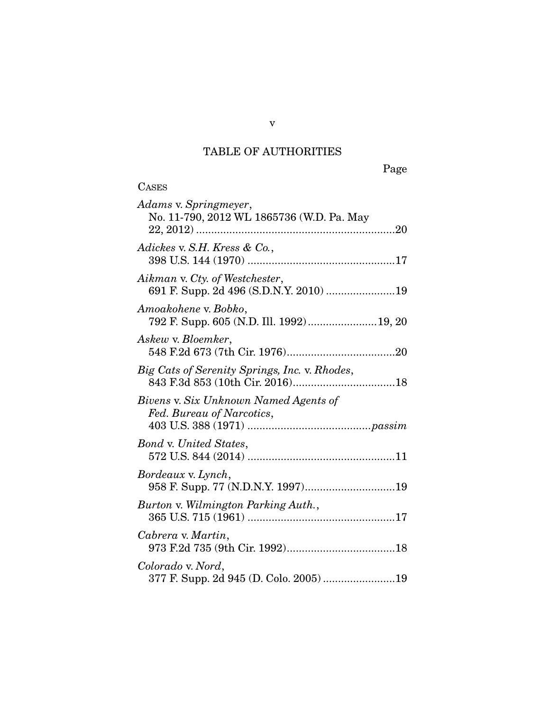# TABLE OF AUTHORITIES

v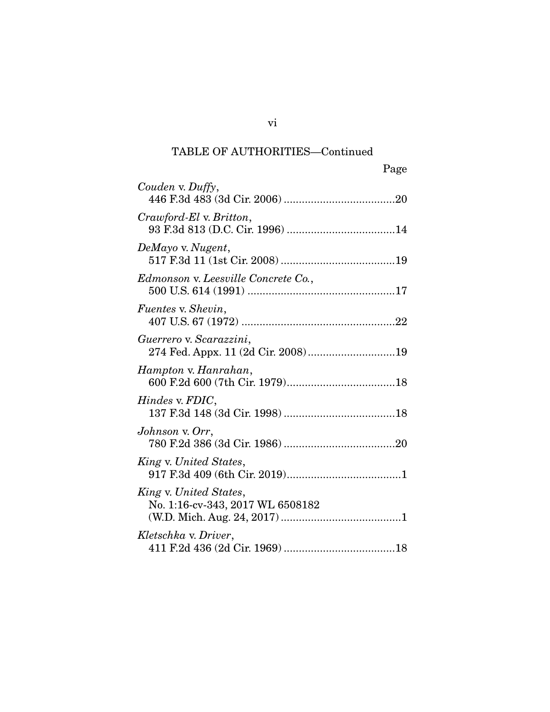| Page                                                          |
|---------------------------------------------------------------|
| Couden v. Duffy,                                              |
| Crawford-El v. Britton,                                       |
| DeMayo v. Nugent,                                             |
| Edmonson v. Leesville Concrete Co.,                           |
| <i>Fuentes v. Shevin,</i>                                     |
| Guerrero v. Scarazzini,<br>274 Fed. Appx. 11 (2d Cir. 2008)19 |
| Hampton v. Hanrahan,                                          |
| Hindes v. FDIC,                                               |
| Johnson v. Orr,                                               |
| King v. United States,                                        |
| King v. United States,<br>No. 1:16-cv-343, 2017 WL 6508182    |
| Kletschka v. Driver,                                          |

vi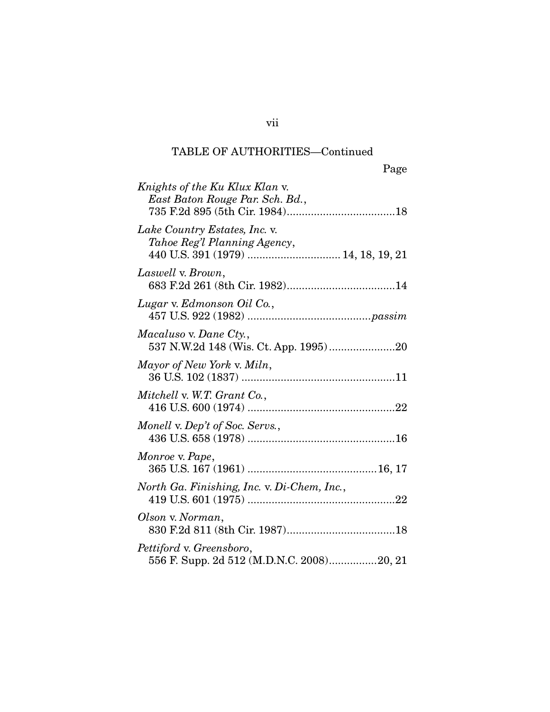|                                                                                                      | Page |
|------------------------------------------------------------------------------------------------------|------|
| Knights of the Ku Klux Klan v.<br>East Baton Rouge Par. Sch. Bd.,                                    |      |
| Lake Country Estates, Inc. v.<br>Tahoe Reg'l Planning Agency,<br>440 U.S. 391 (1979)  14, 18, 19, 21 |      |
| Laswell v. Brown,                                                                                    |      |
| Lugar v. Edmonson Oil Co.,                                                                           |      |
| Macaluso v. Dane Cty.,                                                                               |      |
| Mayor of New York v. Miln,                                                                           |      |
| Mitchell v. W.T. Grant Co.,                                                                          |      |
| Monell v. Dep't of Soc. Servs.,                                                                      |      |
| Monroe v. Pape,                                                                                      |      |
| North Ga. Finishing, Inc. v. Di-Chem, Inc.,                                                          |      |
| Olson v. Norman,                                                                                     |      |
| Pettiford v. Greensboro,<br>556 F. Supp. 2d 512 (M.D.N.C. 2008)20, 21                                |      |

vii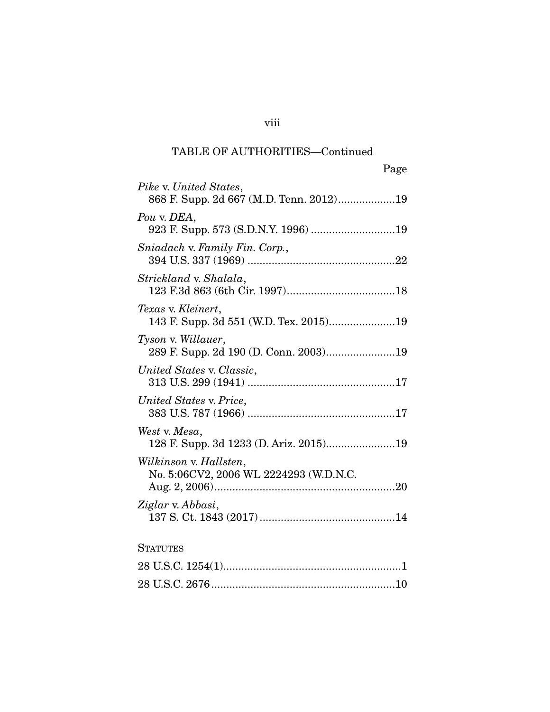| Page                                                              |
|-------------------------------------------------------------------|
| Pike v. United States,<br>868 F. Supp. 2d 667 (M.D. Tenn. 2012)19 |
| Pou v. DEA,<br>923 F. Supp. 573 (S.D.N.Y. 1996) 19                |
| Sniadach v. Family Fin. Corp.,                                    |
| Strickland v. Shalala,                                            |
| Texas v. Kleinert,                                                |
| Tyson v. Willauer,<br>289 F. Supp. 2d 190 (D. Conn. 2003)19       |
| United States v. Classic,                                         |
| United States v. Price,                                           |
| West v. Mesa,                                                     |
| Wilkinson v. Hallsten,<br>No. 5:06CV2, 2006 WL 2224293 (W.D.N.C.  |
| Ziglar v. Abbasi,                                                 |
| <b>STATUTES</b>                                                   |
|                                                                   |

28 U.S.C. 2676 ............................................................. 10

### viii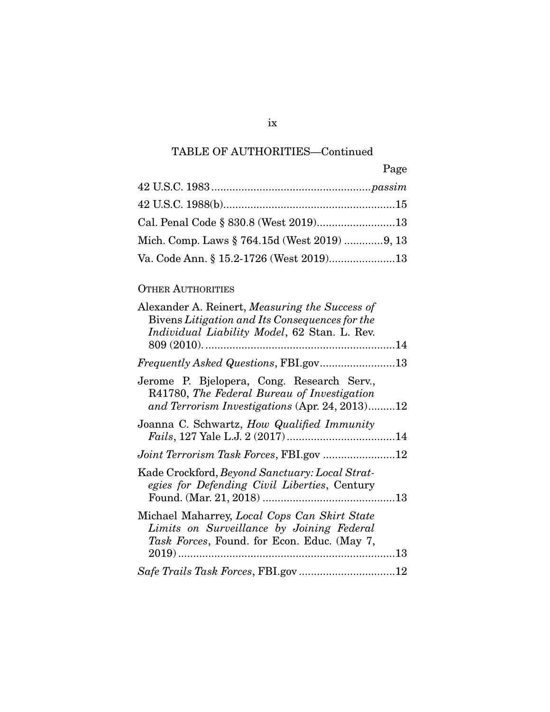|                                              | Page |
|----------------------------------------------|------|
|                                              |      |
|                                              |      |
|                                              |      |
| Mich. Comp. Laws § 764.15d (West 2019) 9, 13 |      |
| Va. Code Ann. § 15.2-1726 (West 2019)13      |      |

## OTHER AUTHORITIES

| Alexander A. Reinert, <i>Measuring the Success of</i><br>Bivens Litigation and Its Consequences for the<br>Individual Liability Model, 62 Stan. L. Rev. |  |
|---------------------------------------------------------------------------------------------------------------------------------------------------------|--|
|                                                                                                                                                         |  |
| Jerome P. Bjelopera, Cong. Research Serv.,<br>R41780, The Federal Bureau of Investigation<br>and Terrorism Investigations (Apr. 24, 2013)12             |  |
| Joanna C. Schwartz, How Qualified Immunity                                                                                                              |  |
|                                                                                                                                                         |  |
| Kade Crockford, Beyond Sanctuary: Local Strat-<br>egies for Defending Civil Liberties, Century                                                          |  |
| Michael Maharrey, Local Cops Can Skirt State<br>Limits on Surveillance by Joining Federal<br><i>Task Forces</i> , Found. for Econ. Educ. (May 7,        |  |
|                                                                                                                                                         |  |
|                                                                                                                                                         |  |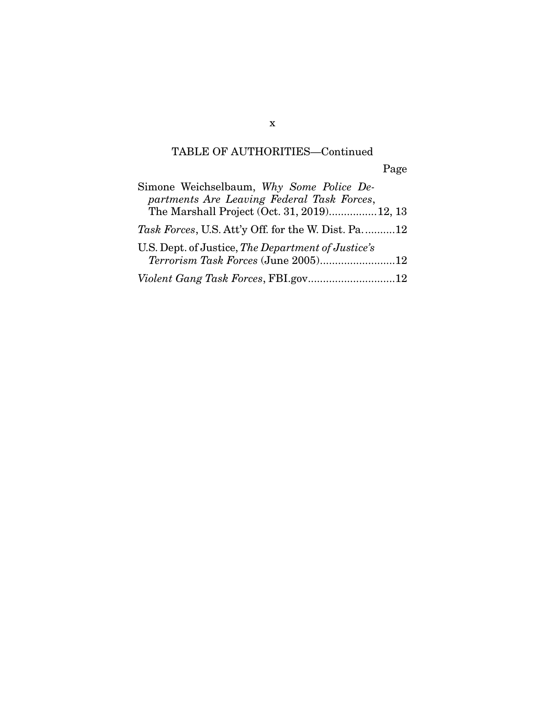Page

| Simone Weichselbaum, Why Some Police De-<br>partments Are Leaving Federal Task Forces,<br>The Marshall Project (Oct. 31, 2019)12, 13 |
|--------------------------------------------------------------------------------------------------------------------------------------|
| <i>Task Forces</i> , U.S. Att'y Off. for the W. Dist. Pa. 12                                                                         |
| U.S. Dept. of Justice, The Department of Justice's                                                                                   |
| Violent Gang Task Forces, FBI.gov12                                                                                                  |

x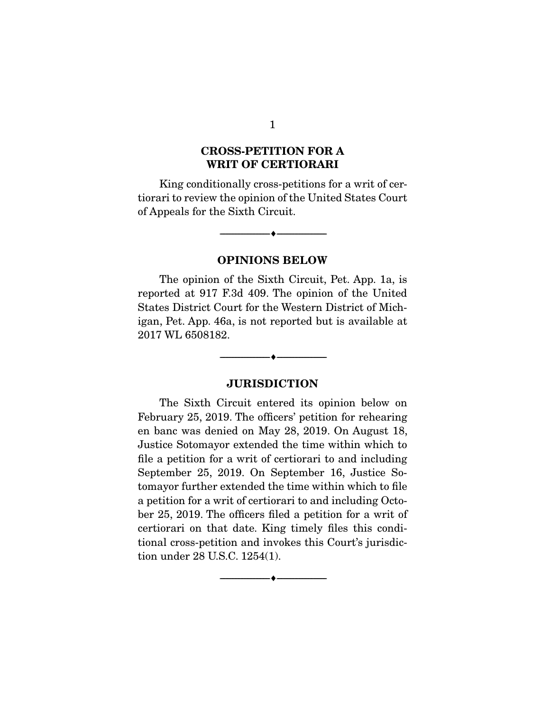## CROSS-PETITION FOR A WRIT OF CERTIORARI

 King conditionally cross-petitions for a writ of certiorari to review the opinion of the United States Court of Appeals for the Sixth Circuit.

### OPINIONS BELOW

--------------------------------- ---------------------------------

 The opinion of the Sixth Circuit, Pet. App. 1a, is reported at 917 F.3d 409. The opinion of the United States District Court for the Western District of Michigan, Pet. App. 46a, is not reported but is available at 2017 WL 6508182.

### JURISDICTION

--------------------------------- ---------------------------------

 The Sixth Circuit entered its opinion below on February 25, 2019. The officers' petition for rehearing en banc was denied on May 28, 2019. On August 18, Justice Sotomayor extended the time within which to file a petition for a writ of certiorari to and including September 25, 2019. On September 16, Justice Sotomayor further extended the time within which to file a petition for a writ of certiorari to and including October 25, 2019. The officers filed a petition for a writ of certiorari on that date. King timely files this conditional cross-petition and invokes this Court's jurisdiction under 28 U.S.C. 1254(1).

--------------------------------- ---------------------------------

1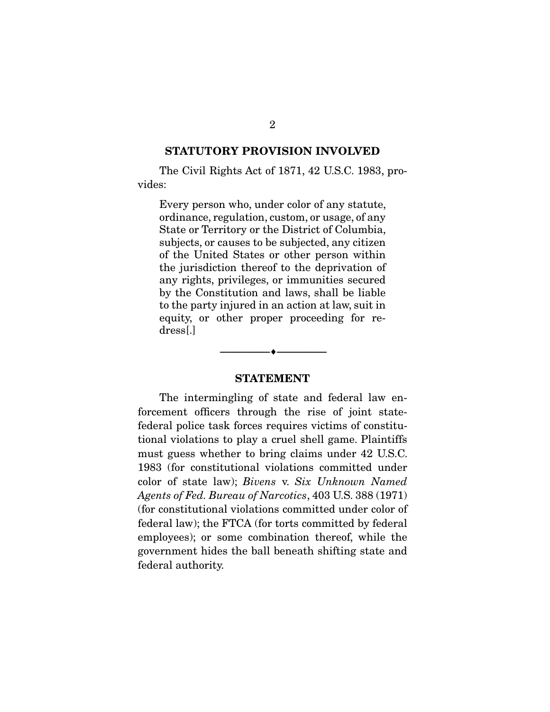### STATUTORY PROVISION INVOLVED

 The Civil Rights Act of 1871, 42 U.S.C. 1983, provides:

Every person who, under color of any statute, ordinance, regulation, custom, or usage, of any State or Territory or the District of Columbia, subjects, or causes to be subjected, any citizen of the United States or other person within the jurisdiction thereof to the deprivation of any rights, privileges, or immunities secured by the Constitution and laws, shall be liable to the party injured in an action at law, suit in equity, or other proper proceeding for redress[.]

### STATEMENT

--------------------------------- ---------------------------------

 The intermingling of state and federal law enforcement officers through the rise of joint statefederal police task forces requires victims of constitutional violations to play a cruel shell game. Plaintiffs must guess whether to bring claims under 42 U.S.C. 1983 (for constitutional violations committed under color of state law); *Bivens* v. *Six Unknown Named Agents of Fed. Bureau of Narcotics*, 403 U.S. 388 (1971) (for constitutional violations committed under color of federal law); the FTCA (for torts committed by federal employees); or some combination thereof, while the government hides the ball beneath shifting state and federal authority.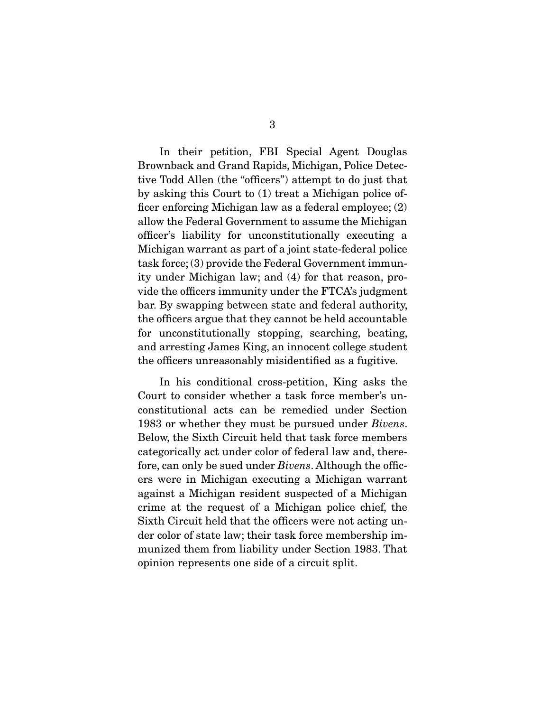In their petition, FBI Special Agent Douglas Brownback and Grand Rapids, Michigan, Police Detective Todd Allen (the "officers") attempt to do just that by asking this Court to (1) treat a Michigan police officer enforcing Michigan law as a federal employee; (2) allow the Federal Government to assume the Michigan officer's liability for unconstitutionally executing a Michigan warrant as part of a joint state-federal police task force; (3) provide the Federal Government immunity under Michigan law; and (4) for that reason, provide the officers immunity under the FTCA's judgment bar. By swapping between state and federal authority, the officers argue that they cannot be held accountable for unconstitutionally stopping, searching, beating, and arresting James King, an innocent college student the officers unreasonably misidentified as a fugitive.

 In his conditional cross-petition, King asks the Court to consider whether a task force member's unconstitutional acts can be remedied under Section 1983 or whether they must be pursued under *Bivens*. Below, the Sixth Circuit held that task force members categorically act under color of federal law and, therefore, can only be sued under *Bivens*. Although the officers were in Michigan executing a Michigan warrant against a Michigan resident suspected of a Michigan crime at the request of a Michigan police chief, the Sixth Circuit held that the officers were not acting under color of state law; their task force membership immunized them from liability under Section 1983. That opinion represents one side of a circuit split.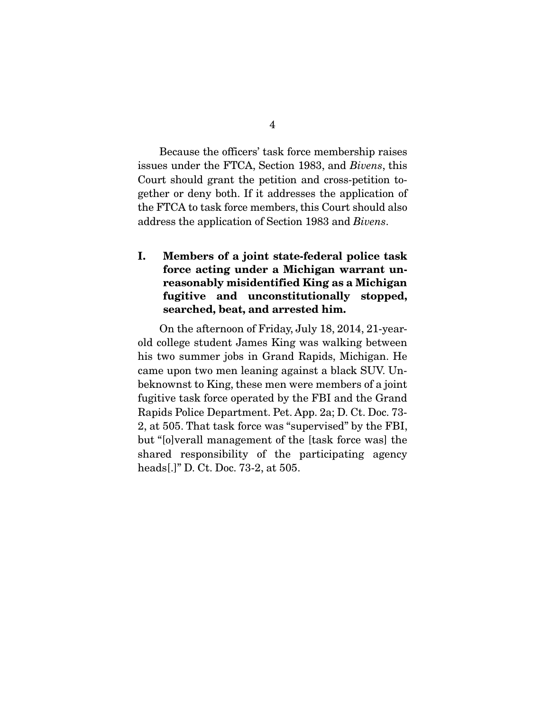Because the officers' task force membership raises issues under the FTCA, Section 1983, and *Bivens*, this Court should grant the petition and cross-petition together or deny both. If it addresses the application of the FTCA to task force members, this Court should also address the application of Section 1983 and *Bivens*.

## I. Members of a joint state-federal police task force acting under a Michigan warrant unreasonably misidentified King as a Michigan fugitive and unconstitutionally stopped, searched, beat, and arrested him.

 On the afternoon of Friday, July 18, 2014, 21-yearold college student James King was walking between his two summer jobs in Grand Rapids, Michigan. He came upon two men leaning against a black SUV. Unbeknownst to King, these men were members of a joint fugitive task force operated by the FBI and the Grand Rapids Police Department. Pet. App. 2a; D. Ct. Doc. 73- 2, at 505. That task force was "supervised" by the FBI, but "[o]verall management of the [task force was] the shared responsibility of the participating agency heads[.]" D. Ct. Doc. 73-2, at 505.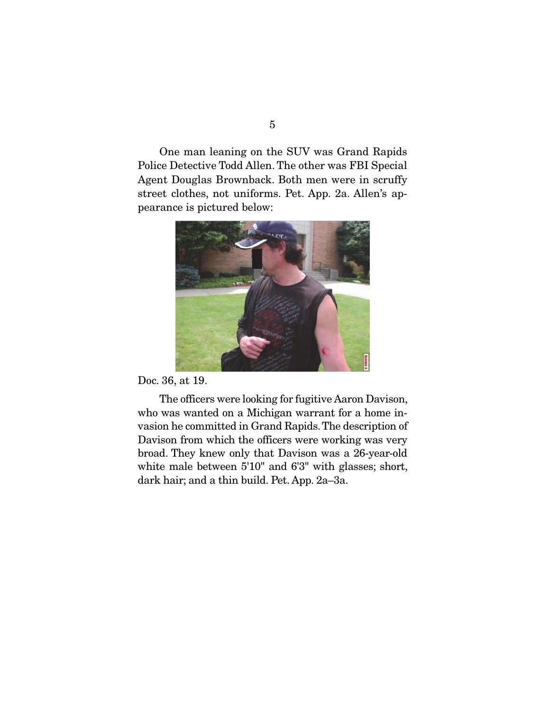One man leaning on the SUV was Grand Rapids Police Detective Todd Allen. The other was FBI Special Agent Douglas Brownback. Both men were in scruffy street clothes, not uniforms. Pet. App. 2a. Allen's appearance is pictured below:



Doc. 36, at 19.

 The officers were looking for fugitive Aaron Davison, who was wanted on a Michigan warrant for a home invasion he committed in Grand Rapids. The description of Davison from which the officers were working was very broad. They knew only that Davison was a 26-year-old white male between 5'10" and 6'3" with glasses; short, dark hair; and a thin build. Pet. App. 2a–3a.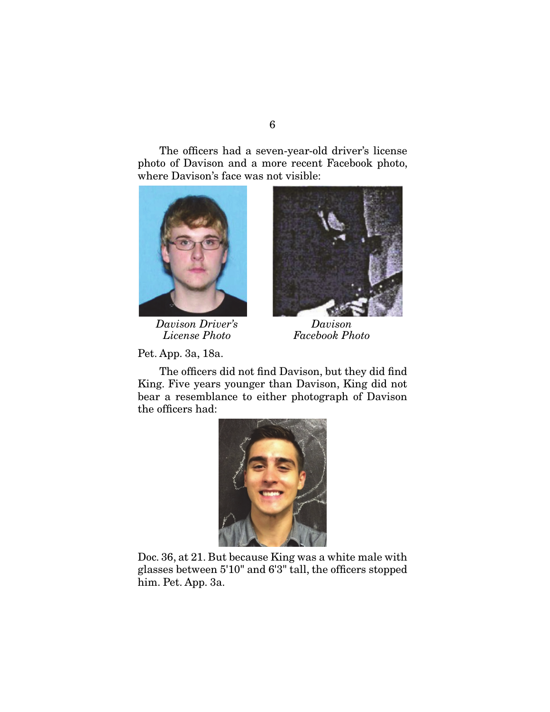The officers had a seven-year-old driver's license photo of Davison and a more recent Facebook photo, where Davison's face was not visible:



 *Davison Driver's Davison License Photo Facebook Photo*

Pet. App. 3a, 18a.



 The officers did not find Davison, but they did find King. Five years younger than Davison, King did not bear a resemblance to either photograph of Davison the officers had:



Doc. 36, at 21. But because King was a white male with glasses between 5'10" and 6'3" tall, the officers stopped him. Pet. App. 3a.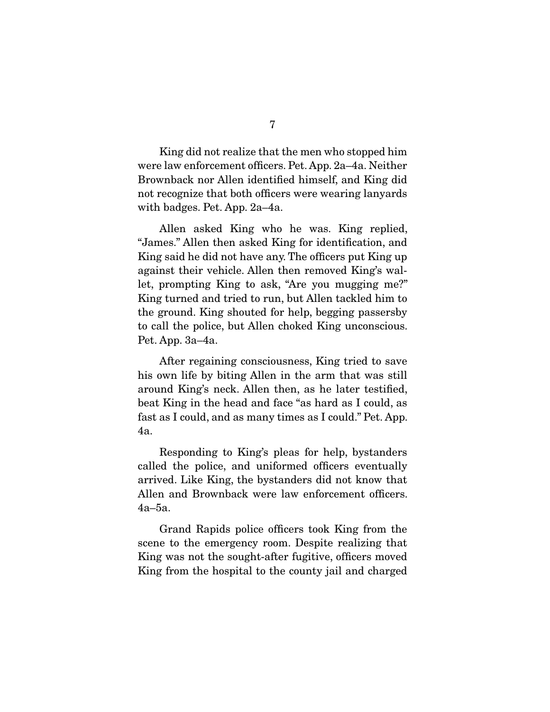King did not realize that the men who stopped him were law enforcement officers. Pet. App. 2a–4a. Neither Brownback nor Allen identified himself, and King did not recognize that both officers were wearing lanyards with badges. Pet. App. 2a–4a.

 Allen asked King who he was. King replied, "James." Allen then asked King for identification, and King said he did not have any. The officers put King up against their vehicle. Allen then removed King's wallet, prompting King to ask, "Are you mugging me?" King turned and tried to run, but Allen tackled him to the ground. King shouted for help, begging passersby to call the police, but Allen choked King unconscious. Pet. App. 3a–4a.

 After regaining consciousness, King tried to save his own life by biting Allen in the arm that was still around King's neck. Allen then, as he later testified, beat King in the head and face "as hard as I could, as fast as I could, and as many times as I could." Pet. App. 4a.

 Responding to King's pleas for help, bystanders called the police, and uniformed officers eventually arrived. Like King, the bystanders did not know that Allen and Brownback were law enforcement officers. 4a–5a.

 Grand Rapids police officers took King from the scene to the emergency room. Despite realizing that King was not the sought-after fugitive, officers moved King from the hospital to the county jail and charged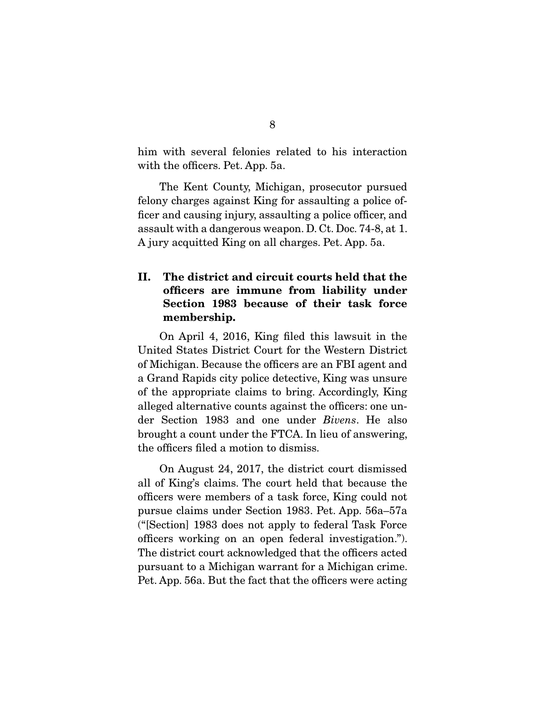him with several felonies related to his interaction with the officers. Pet. App. 5a.

 The Kent County, Michigan, prosecutor pursued felony charges against King for assaulting a police officer and causing injury, assaulting a police officer, and assault with a dangerous weapon. D. Ct. Doc. 74-8, at 1. A jury acquitted King on all charges. Pet. App. 5a.

## II. The district and circuit courts held that the officers are immune from liability under Section 1983 because of their task force membership.

 On April 4, 2016, King filed this lawsuit in the United States District Court for the Western District of Michigan. Because the officers are an FBI agent and a Grand Rapids city police detective, King was unsure of the appropriate claims to bring. Accordingly, King alleged alternative counts against the officers: one under Section 1983 and one under *Bivens*. He also brought a count under the FTCA. In lieu of answering, the officers filed a motion to dismiss.

 On August 24, 2017, the district court dismissed all of King's claims. The court held that because the officers were members of a task force, King could not pursue claims under Section 1983. Pet. App. 56a–57a ("[Section] 1983 does not apply to federal Task Force officers working on an open federal investigation."). The district court acknowledged that the officers acted pursuant to a Michigan warrant for a Michigan crime. Pet. App. 56a. But the fact that the officers were acting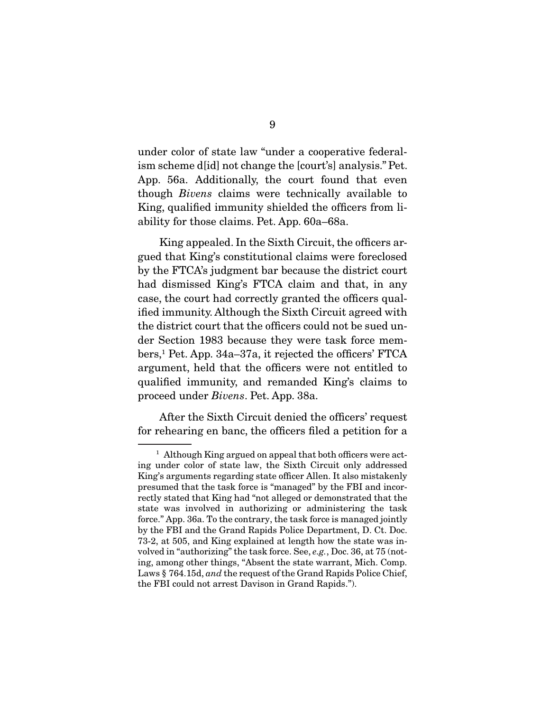under color of state law "under a cooperative federalism scheme d[id] not change the [court's] analysis." Pet. App. 56a. Additionally, the court found that even though *Bivens* claims were technically available to King, qualified immunity shielded the officers from liability for those claims. Pet. App. 60a–68a.

 King appealed. In the Sixth Circuit, the officers argued that King's constitutional claims were foreclosed by the FTCA's judgment bar because the district court had dismissed King's FTCA claim and that, in any case, the court had correctly granted the officers qualified immunity. Although the Sixth Circuit agreed with the district court that the officers could not be sued under Section 1983 because they were task force members,1 Pet. App. 34a–37a, it rejected the officers' FTCA argument, held that the officers were not entitled to qualified immunity, and remanded King's claims to proceed under *Bivens*. Pet. App. 38a.

 After the Sixth Circuit denied the officers' request for rehearing en banc, the officers filed a petition for a

<sup>&</sup>lt;sup>1</sup> Although King argued on appeal that both officers were acting under color of state law, the Sixth Circuit only addressed King's arguments regarding state officer Allen. It also mistakenly presumed that the task force is "managed" by the FBI and incorrectly stated that King had "not alleged or demonstrated that the state was involved in authorizing or administering the task force." App. 36a. To the contrary, the task force is managed jointly by the FBI and the Grand Rapids Police Department, D. Ct. Doc. 73-2, at 505, and King explained at length how the state was involved in "authorizing" the task force. See, *e.g.*, Doc. 36, at 75 (noting, among other things, "Absent the state warrant, Mich. Comp. Laws § 764.15d, *and* the request of the Grand Rapids Police Chief, the FBI could not arrest Davison in Grand Rapids.").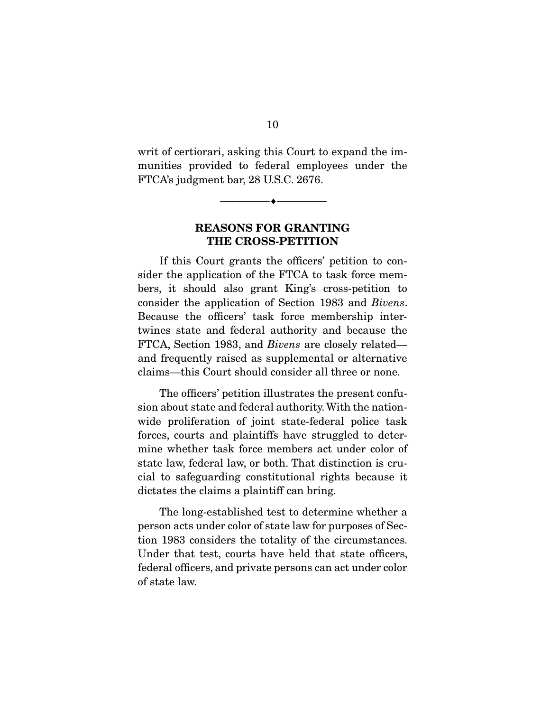writ of certiorari, asking this Court to expand the immunities provided to federal employees under the FTCA's judgment bar, 28 U.S.C. 2676.

## REASONS FOR GRANTING THE CROSS-PETITION

--------------------------------- ---------------------------------

 If this Court grants the officers' petition to consider the application of the FTCA to task force members, it should also grant King's cross-petition to consider the application of Section 1983 and *Bivens*. Because the officers' task force membership intertwines state and federal authority and because the FTCA, Section 1983, and *Bivens* are closely related and frequently raised as supplemental or alternative claims—this Court should consider all three or none.

 The officers' petition illustrates the present confusion about state and federal authority. With the nationwide proliferation of joint state-federal police task forces, courts and plaintiffs have struggled to determine whether task force members act under color of state law, federal law, or both. That distinction is crucial to safeguarding constitutional rights because it dictates the claims a plaintiff can bring.

 The long-established test to determine whether a person acts under color of state law for purposes of Section 1983 considers the totality of the circumstances. Under that test, courts have held that state officers, federal officers, and private persons can act under color of state law.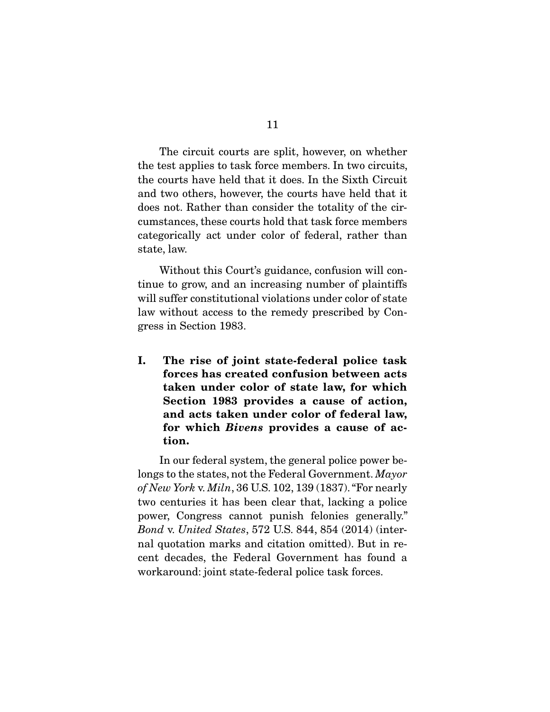The circuit courts are split, however, on whether the test applies to task force members. In two circuits, the courts have held that it does. In the Sixth Circuit and two others, however, the courts have held that it does not. Rather than consider the totality of the circumstances, these courts hold that task force members categorically act under color of federal, rather than state, law.

 Without this Court's guidance, confusion will continue to grow, and an increasing number of plaintiffs will suffer constitutional violations under color of state law without access to the remedy prescribed by Congress in Section 1983.

I. The rise of joint state-federal police task forces has created confusion between acts taken under color of state law, for which Section 1983 provides a cause of action, and acts taken under color of federal law, for which *Bivens* provides a cause of action.

 In our federal system, the general police power belongs to the states, not the Federal Government. *Mayor of New York* v. *Miln*, 36 U.S. 102, 139 (1837). "For nearly two centuries it has been clear that, lacking a police power, Congress cannot punish felonies generally." *Bond* v. *United States*, 572 U.S. 844, 854 (2014) (internal quotation marks and citation omitted). But in recent decades, the Federal Government has found a workaround: joint state-federal police task forces.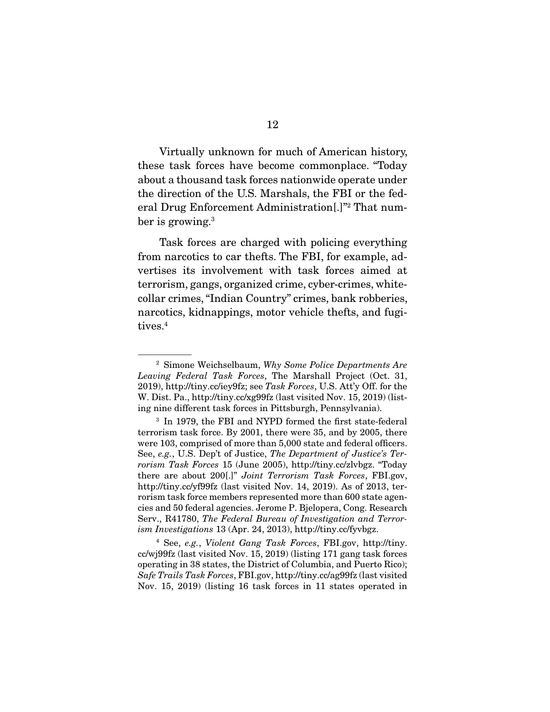Virtually unknown for much of American history, these task forces have become commonplace. "Today about a thousand task forces nationwide operate under the direction of the U.S. Marshals, the FBI or the federal Drug Enforcement Administration[.]"2 That number is growing.<sup>3</sup>

 Task forces are charged with policing everything from narcotics to car thefts. The FBI, for example, advertises its involvement with task forces aimed at terrorism, gangs, organized crime, cyber-crimes, whitecollar crimes, "Indian Country" crimes, bank robberies, narcotics, kidnappings, motor vehicle thefts, and fugitives.<sup>4</sup>

<sup>2</sup> Simone Weichselbaum, *Why Some Police Departments Are Leaving Federal Task Forces*, The Marshall Project (Oct. 31, 2019), http://tiny.cc/iey9fz; see *Task Forces*, U.S. Att'y Off. for the W. Dist. Pa., http://tiny.cc/xg99fz (last visited Nov. 15, 2019) (listing nine different task forces in Pittsburgh, Pennsylvania).

<sup>&</sup>lt;sup>3</sup> In 1979, the FBI and NYPD formed the first state-federal terrorism task force. By 2001, there were 35, and by 2005, there were 103, comprised of more than 5,000 state and federal officers. See, *e.g.*, U.S. Dep't of Justice, *The Department of Justice's Terrorism Task Forces* 15 (June 2005), http://tiny.cc/zlvbgz. "Today there are about 200[.]" *Joint Terrorism Task Forces*, FBI.gov, http://tiny.cc/yf99fz (last visited Nov. 14, 2019). As of 2013, terrorism task force members represented more than 600 state agencies and 50 federal agencies. Jerome P. Bjelopera, Cong. Research Serv., R41780, *The Federal Bureau of Investigation and Terrorism Investigations* 13 (Apr. 24, 2013), http://tiny.cc/fyvbgz.

<sup>4</sup> See, *e.g.*, *Violent Gang Task Forces*, FBI.gov, http://tiny. cc/wj99fz (last visited Nov. 15, 2019) (listing 171 gang task forces operating in 38 states, the District of Columbia, and Puerto Rico); *Safe Trails Task Forces*, FBI.gov, http://tiny.cc/ag99fz (last visited Nov. 15, 2019) (listing 16 task forces in 11 states operated in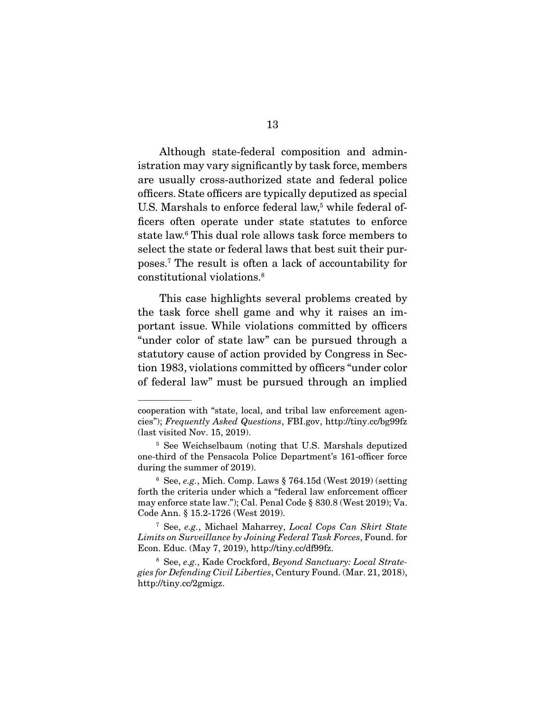Although state-federal composition and administration may vary significantly by task force, members are usually cross-authorized state and federal police officers. State officers are typically deputized as special U.S. Marshals to enforce federal law,<sup>5</sup> while federal officers often operate under state statutes to enforce state law.6 This dual role allows task force members to select the state or federal laws that best suit their purposes.7 The result is often a lack of accountability for constitutional violations.8

 This case highlights several problems created by the task force shell game and why it raises an important issue. While violations committed by officers "under color of state law" can be pursued through a statutory cause of action provided by Congress in Section 1983, violations committed by officers "under color of federal law" must be pursued through an implied

cooperation with "state, local, and tribal law enforcement agencies"); *Frequently Asked Questions*, FBI.gov, http://tiny.cc/bg99fz (last visited Nov. 15, 2019).

<sup>5</sup> See Weichselbaum (noting that U.S. Marshals deputized one-third of the Pensacola Police Department's 161-officer force during the summer of 2019).

<sup>6</sup> See, *e.g.*, Mich. Comp. Laws § 764.15d (West 2019) (setting forth the criteria under which a "federal law enforcement officer may enforce state law."); Cal. Penal Code § 830.8 (West 2019); Va. Code Ann. § 15.2-1726 (West 2019).

<sup>7</sup> See, *e.g.*, Michael Maharrey, *Local Cops Can Skirt State Limits on Surveillance by Joining Federal Task Forces*, Found. for Econ. Educ. (May 7, 2019), http://tiny.cc/df99fz.

<sup>8</sup> See, *e.g.*, Kade Crockford, *Beyond Sanctuary: Local Strategies for Defending Civil Liberties*, Century Found. (Mar. 21, 2018), http://tiny.cc/2gmigz.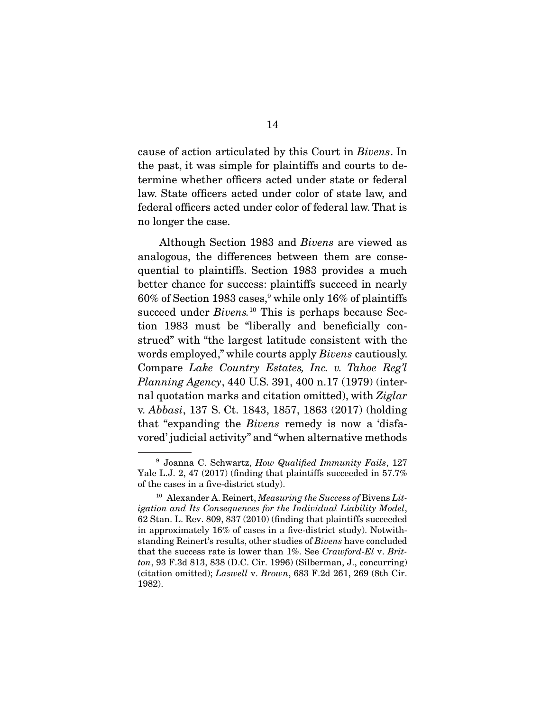cause of action articulated by this Court in *Bivens*. In the past, it was simple for plaintiffs and courts to determine whether officers acted under state or federal law. State officers acted under color of state law, and federal officers acted under color of federal law. That is no longer the case.

 Although Section 1983 and *Bivens* are viewed as analogous, the differences between them are consequential to plaintiffs. Section 1983 provides a much better chance for success: plaintiffs succeed in nearly  $60\%$  of Section 1983 cases, while only 16% of plaintiffs succeed under *Bivens.*<sup>10</sup> This is perhaps because Section 1983 must be "liberally and beneficially construed" with "the largest latitude consistent with the words employed," while courts apply *Bivens* cautiously. Compare *Lake Country Estates, Inc. v. Tahoe Reg'l Planning Agency*, 440 U.S. 391, 400 n.17 (1979) (internal quotation marks and citation omitted), with *Ziglar*  v. *Abbasi*, 137 S. Ct. 1843, 1857, 1863 (2017) (holding that "expanding the *Bivens* remedy is now a 'disfavored' judicial activity" and "when alternative methods

<sup>9</sup> Joanna C. Schwartz, *How Qualified Immunity Fails*, 127 Yale L.J. 2, 47 (2017) (finding that plaintiffs succeeded in 57.7% of the cases in a five-district study).

<sup>10</sup> Alexander A. Reinert, *Measuring the Success of* Bivens *Litigation and Its Consequences for the Individual Liability Model*, 62 Stan. L. Rev. 809, 837 (2010) (finding that plaintiffs succeeded in approximately 16% of cases in a five-district study). Notwithstanding Reinert's results, other studies of *Bivens* have concluded that the success rate is lower than 1%. See *Crawford-El* v. *Britton*, 93 F.3d 813, 838 (D.C. Cir. 1996) (Silberman, J., concurring) (citation omitted); *Laswell* v. *Brown*, 683 F.2d 261, 269 (8th Cir. 1982).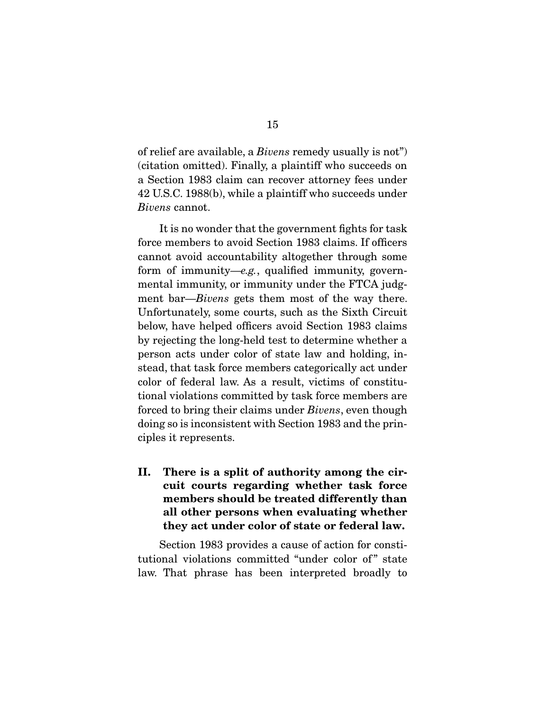of relief are available, a *Bivens* remedy usually is not") (citation omitted). Finally, a plaintiff who succeeds on a Section 1983 claim can recover attorney fees under 42 U.S.C. 1988(b), while a plaintiff who succeeds under *Bivens* cannot.

 It is no wonder that the government fights for task force members to avoid Section 1983 claims. If officers cannot avoid accountability altogether through some form of immunity—*e.g.*, qualified immunity, governmental immunity, or immunity under the FTCA judgment bar—*Bivens* gets them most of the way there. Unfortunately, some courts, such as the Sixth Circuit below, have helped officers avoid Section 1983 claims by rejecting the long-held test to determine whether a person acts under color of state law and holding, instead, that task force members categorically act under color of federal law. As a result, victims of constitutional violations committed by task force members are forced to bring their claims under *Bivens*, even though doing so is inconsistent with Section 1983 and the principles it represents.

II. There is a split of authority among the circuit courts regarding whether task force members should be treated differently than all other persons when evaluating whether they act under color of state or federal law.

 Section 1983 provides a cause of action for constitutional violations committed "under color of" state law. That phrase has been interpreted broadly to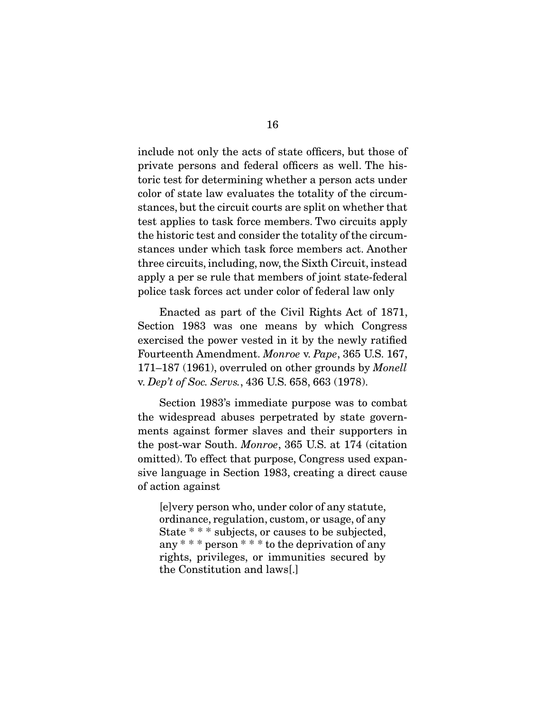include not only the acts of state officers, but those of private persons and federal officers as well. The historic test for determining whether a person acts under color of state law evaluates the totality of the circumstances, but the circuit courts are split on whether that test applies to task force members. Two circuits apply the historic test and consider the totality of the circumstances under which task force members act. Another three circuits, including, now, the Sixth Circuit, instead apply a per se rule that members of joint state-federal police task forces act under color of federal law only

 Enacted as part of the Civil Rights Act of 1871, Section 1983 was one means by which Congress exercised the power vested in it by the newly ratified Fourteenth Amendment. *Monroe* v. *Pape*, 365 U.S. 167, 171–187 (1961), overruled on other grounds by *Monell* v. *Dep't of Soc. Servs.*, 436 U.S. 658, 663 (1978).

 Section 1983's immediate purpose was to combat the widespread abuses perpetrated by state governments against former slaves and their supporters in the post-war South. *Monroe*, 365 U.S. at 174 (citation omitted). To effect that purpose, Congress used expansive language in Section 1983, creating a direct cause of action against

[e]very person who, under color of any statute, ordinance, regulation, custom, or usage, of any State \* \* \* subjects, or causes to be subjected, any \* \* \* person \* \* \* to the deprivation of any rights, privileges, or immunities secured by the Constitution and laws[.]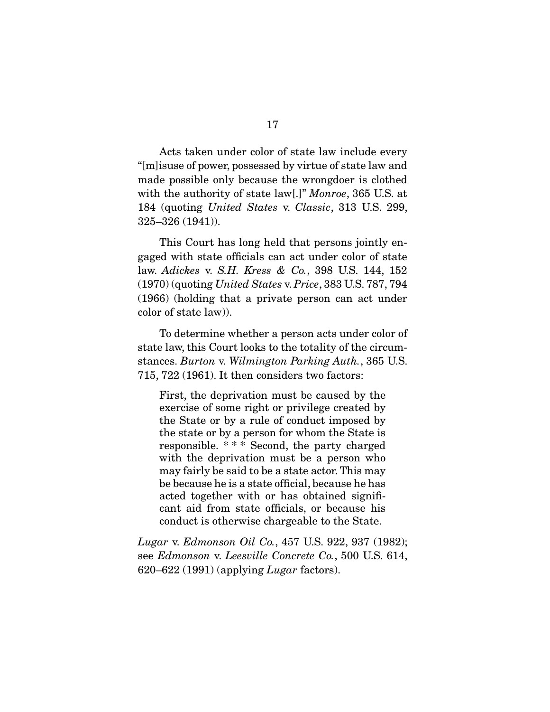Acts taken under color of state law include every "[m]isuse of power, possessed by virtue of state law and made possible only because the wrongdoer is clothed with the authority of state law[.]" *Monroe*, 365 U.S. at 184 (quoting *United States* v. *Classic*, 313 U.S. 299, 325–326 (1941)).

 This Court has long held that persons jointly engaged with state officials can act under color of state law. *Adickes* v. *S.H. Kress & Co.*, 398 U.S. 144, 152 (1970) (quoting *United States* v. *Price*, 383 U.S. 787, 794 (1966) (holding that a private person can act under color of state law)).

 To determine whether a person acts under color of state law, this Court looks to the totality of the circumstances. *Burton* v. *Wilmington Parking Auth.*, 365 U.S. 715, 722 (1961). It then considers two factors:

First, the deprivation must be caused by the exercise of some right or privilege created by the State or by a rule of conduct imposed by the state or by a person for whom the State is responsible. \* \* \* Second, the party charged with the deprivation must be a person who may fairly be said to be a state actor. This may be because he is a state official, because he has acted together with or has obtained significant aid from state officials, or because his conduct is otherwise chargeable to the State.

*Lugar* v. *Edmonson Oil Co.*, 457 U.S. 922, 937 (1982); see *Edmonson* v. *Leesville Concrete Co.*, 500 U.S. 614, 620–622 (1991) (applying *Lugar* factors).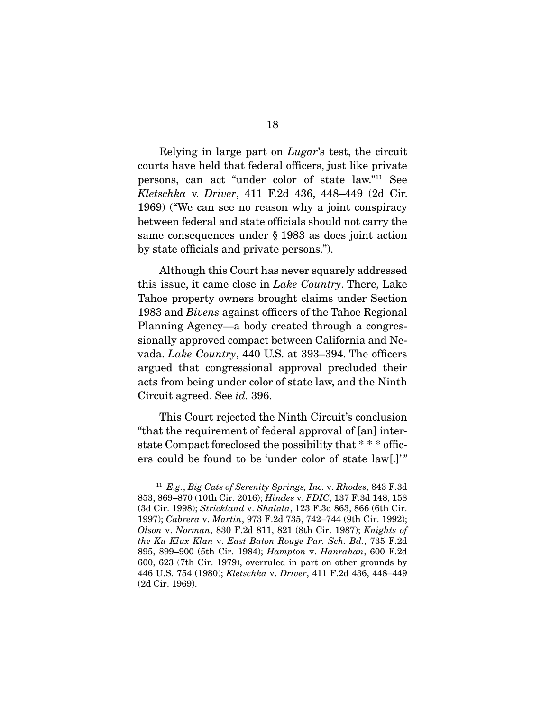Relying in large part on *Lugar*'s test, the circuit courts have held that federal officers, just like private persons, can act "under color of state law."11 See *Kletschka* v. *Driver*, 411 F.2d 436, 448–449 (2d Cir. 1969) ("We can see no reason why a joint conspiracy between federal and state officials should not carry the same consequences under § 1983 as does joint action by state officials and private persons.").

 Although this Court has never squarely addressed this issue, it came close in *Lake Country*. There, Lake Tahoe property owners brought claims under Section 1983 and *Bivens* against officers of the Tahoe Regional Planning Agency—a body created through a congressionally approved compact between California and Nevada. *Lake Country*, 440 U.S. at 393–394. The officers argued that congressional approval precluded their acts from being under color of state law, and the Ninth Circuit agreed. See *id.* 396.

 This Court rejected the Ninth Circuit's conclusion "that the requirement of federal approval of [an] interstate Compact foreclosed the possibility that \* \* \* officers could be found to be 'under color of state law[.]'"

<sup>11</sup> *E.g.*, *Big Cats of Serenity Springs, Inc.* v. *Rhodes*, 843 F.3d 853, 869–870 (10th Cir. 2016); *Hindes* v. *FDIC*, 137 F.3d 148, 158 (3d Cir. 1998); *Strickland* v. *Shalala*, 123 F.3d 863, 866 (6th Cir. 1997); *Cabrera* v. *Martin*, 973 F.2d 735, 742–744 (9th Cir. 1992); *Olson* v. *Norman*, 830 F.2d 811, 821 (8th Cir. 1987); *Knights of the Ku Klux Klan* v. *East Baton Rouge Par. Sch. Bd.*, 735 F.2d 895, 899–900 (5th Cir. 1984); *Hampton* v. *Hanrahan*, 600 F.2d 600, 623 (7th Cir. 1979), overruled in part on other grounds by 446 U.S. 754 (1980); *Kletschka* v. *Driver*, 411 F.2d 436, 448–449 (2d Cir. 1969).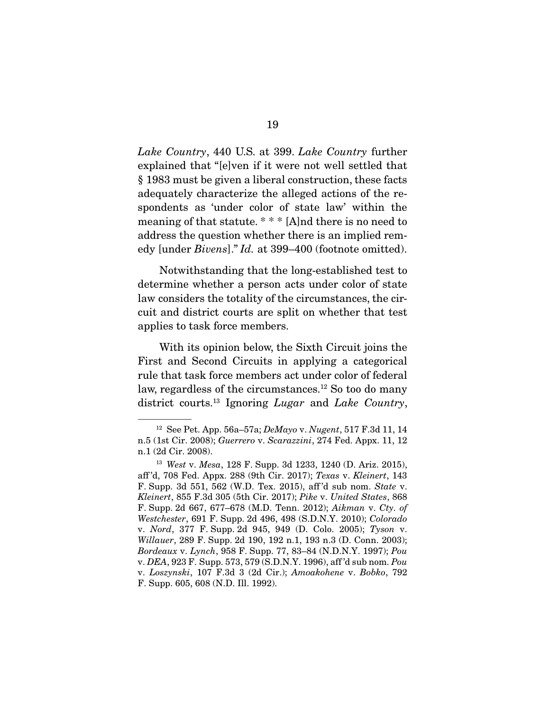*Lake Country*, 440 U.S. at 399. *Lake Country* further explained that "[e]ven if it were not well settled that § 1983 must be given a liberal construction, these facts adequately characterize the alleged actions of the respondents as 'under color of state law' within the meaning of that statute. \* \* \* [A]nd there is no need to address the question whether there is an implied remedy [under *Bivens*]." *Id.* at 399–400 (footnote omitted).

 Notwithstanding that the long-established test to determine whether a person acts under color of state law considers the totality of the circumstances, the circuit and district courts are split on whether that test applies to task force members.

 With its opinion below, the Sixth Circuit joins the First and Second Circuits in applying a categorical rule that task force members act under color of federal law, regardless of the circumstances.<sup>12</sup> So too do many district courts.13 Ignoring *Lugar* and *Lake Country*,

<sup>12</sup> See Pet. App. 56a–57a; *DeMayo* v. *Nugent*, 517 F.3d 11, 14 n.5 (1st Cir. 2008); *Guerrero* v. *Scarazzini*, 274 Fed. Appx. 11, 12 n.1 (2d Cir. 2008).

<sup>13</sup> *West* v. *Mesa*, 128 F. Supp. 3d 1233, 1240 (D. Ariz. 2015), aff 'd, 708 Fed. Appx. 288 (9th Cir. 2017); *Texas* v. *Kleinert*, 143 F. Supp. 3d 551, 562 (W.D. Tex. 2015), aff 'd sub nom. *State* v. *Kleinert*, 855 F.3d 305 (5th Cir. 2017); *Pike* v. *United States*, 868 F. Supp. 2d 667, 677–678 (M.D. Tenn. 2012); *Aikman* v. *Cty. of Westchester*, 691 F. Supp. 2d 496, 498 (S.D.N.Y. 2010); *Colorado* v. *Nord*, 377 F. Supp. 2d 945, 949 (D. Colo. 2005); *Tyson* v. *Willauer*, 289 F. Supp. 2d 190, 192 n.1, 193 n.3 (D. Conn. 2003); *Bordeaux* v. *Lynch*, 958 F. Supp. 77, 83–84 (N.D.N.Y. 1997); *Pou* v. *DEA*, 923 F. Supp. 573, 579 (S.D.N.Y. 1996), aff 'd sub nom. *Pou*  v. *Loszynski*, 107 F.3d 3 (2d Cir.); *Amoakohene* v. *Bobko*, 792 F. Supp. 605, 608 (N.D. Ill. 1992).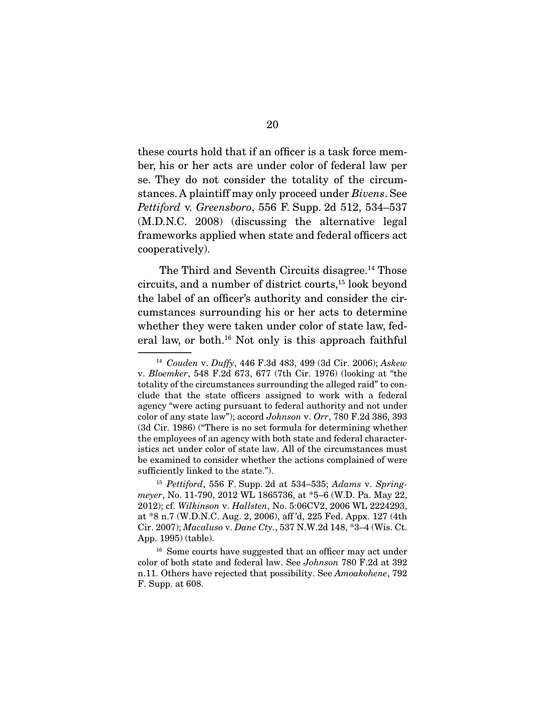these courts hold that if an officer is a task force member, his or her acts are under color of federal law per se. They do not consider the totality of the circumstances. A plaintiff may only proceed under *Bivens*. See *Pettiford* v. *Greensboro*, 556 F. Supp. 2d 512, 534–537 (M.D.N.C. 2008) (discussing the alternative legal frameworks applied when state and federal officers act cooperatively).

The Third and Seventh Circuits disagree.<sup>14</sup> Those circuits, and a number of district courts,15 look beyond the label of an officer's authority and consider the circumstances surrounding his or her acts to determine whether they were taken under color of state law, federal law, or both.16 Not only is this approach faithful

<sup>14</sup> *Couden* v. *Duffy*, 446 F.3d 483, 499 (3d Cir. 2006); *Askew* v. *Bloemker*, 548 F.2d 673, 677 (7th Cir. 1976) (looking at "the totality of the circumstances surrounding the alleged raid" to conclude that the state officers assigned to work with a federal agency "were acting pursuant to federal authority and not under color of any state law"); accord *Johnson* v. *Orr*, 780 F.2d 386, 393 (3d Cir. 1986) ("There is no set formula for determining whether the employees of an agency with both state and federal characteristics act under color of state law. All of the circumstances must be examined to consider whether the actions complained of were sufficiently linked to the state.").

<sup>15</sup> *Pettiford*, 556 F. Supp. 2d at 534–535; *Adams* v. *Springmeyer*, No. 11-790, 2012 WL 1865736, at \*5–6 (W.D. Pa. May 22, 2012); cf. *Wilkinson* v. *Hallsten*, No. 5:06CV2, 2006 WL 2224293, at \*8 n.7 (W.D.N.C. Aug. 2, 2006), aff 'd, 225 Fed. Appx. 127 (4th Cir. 2007); *Macaluso* v. *Dane Cty.*, 537 N.W.2d 148, \*3–4 (Wis. Ct. App. 1995) (table).

<sup>&</sup>lt;sup>16</sup> Some courts have suggested that an officer may act under color of both state and federal law. See *Johnson* 780 F.2d at 392 n.11. Others have rejected that possibility. See *Amoakohene*, 792 F. Supp. at 608.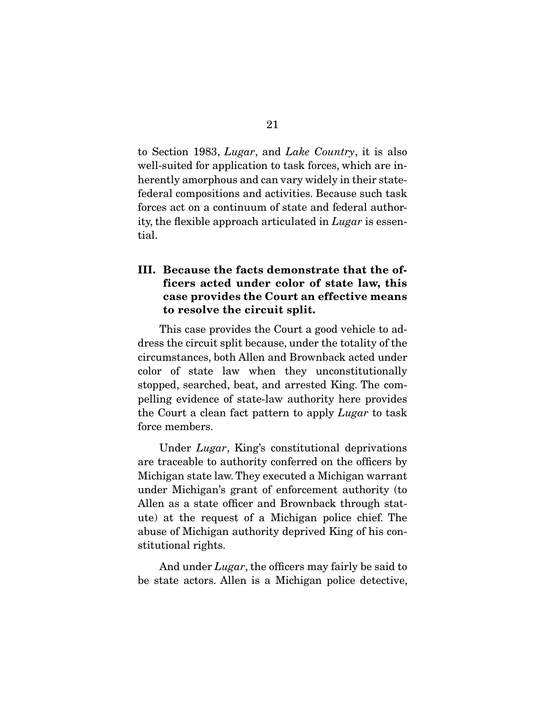to Section 1983, *Lugar*, and *Lake Country*, it is also well-suited for application to task forces, which are inherently amorphous and can vary widely in their statefederal compositions and activities. Because such task forces act on a continuum of state and federal authority, the flexible approach articulated in *Lugar* is essential.

## III. Because the facts demonstrate that the officers acted under color of state law, this case provides the Court an effective means to resolve the circuit split.

 This case provides the Court a good vehicle to address the circuit split because, under the totality of the circumstances, both Allen and Brownback acted under color of state law when they unconstitutionally stopped, searched, beat, and arrested King. The compelling evidence of state-law authority here provides the Court a clean fact pattern to apply *Lugar* to task force members.

 Under *Lugar*, King's constitutional deprivations are traceable to authority conferred on the officers by Michigan state law. They executed a Michigan warrant under Michigan's grant of enforcement authority (to Allen as a state officer and Brownback through statute) at the request of a Michigan police chief. The abuse of Michigan authority deprived King of his constitutional rights.

 And under *Lugar*, the officers may fairly be said to be state actors. Allen is a Michigan police detective,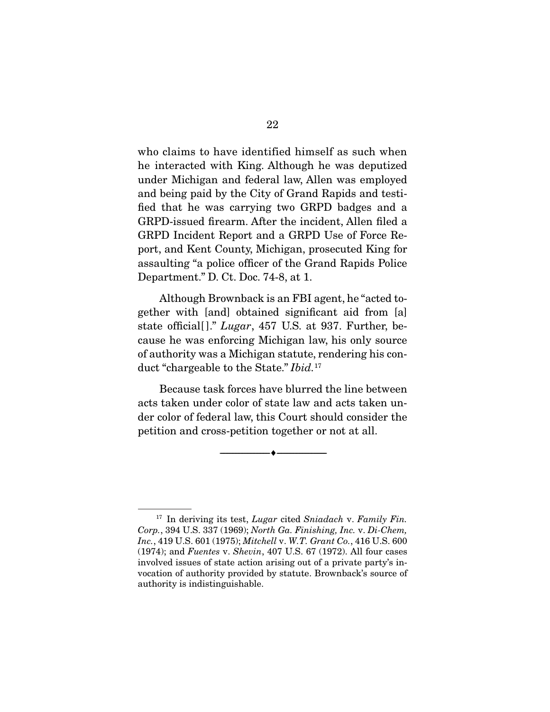who claims to have identified himself as such when he interacted with King. Although he was deputized under Michigan and federal law, Allen was employed and being paid by the City of Grand Rapids and testified that he was carrying two GRPD badges and a GRPD-issued firearm. After the incident, Allen filed a GRPD Incident Report and a GRPD Use of Force Report, and Kent County, Michigan, prosecuted King for assaulting "a police officer of the Grand Rapids Police Department." D. Ct. Doc. 74-8, at 1.

 Although Brownback is an FBI agent, he "acted together with [and] obtained significant aid from [a] state official[ ]." *Lugar*, 457 U.S. at 937. Further, because he was enforcing Michigan law, his only source of authority was a Michigan statute, rendering his conduct "chargeable to the State." *Ibid.*<sup>17</sup>

 Because task forces have blurred the line between acts taken under color of state law and acts taken under color of federal law, this Court should consider the petition and cross-petition together or not at all.

--------------------------------- ---------------------------------

<sup>17</sup> In deriving its test, *Lugar* cited *Sniadach* v. *Family Fin. Corp.*, 394 U.S. 337 (1969); *North Ga. Finishing, Inc.* v. *Di-Chem, Inc.*, 419 U.S. 601 (1975); *Mitchell* v. *W.T. Grant Co.*, 416 U.S. 600 (1974); and *Fuentes* v. *Shevin*, 407 U.S. 67 (1972). All four cases involved issues of state action arising out of a private party's invocation of authority provided by statute. Brownback's source of authority is indistinguishable.